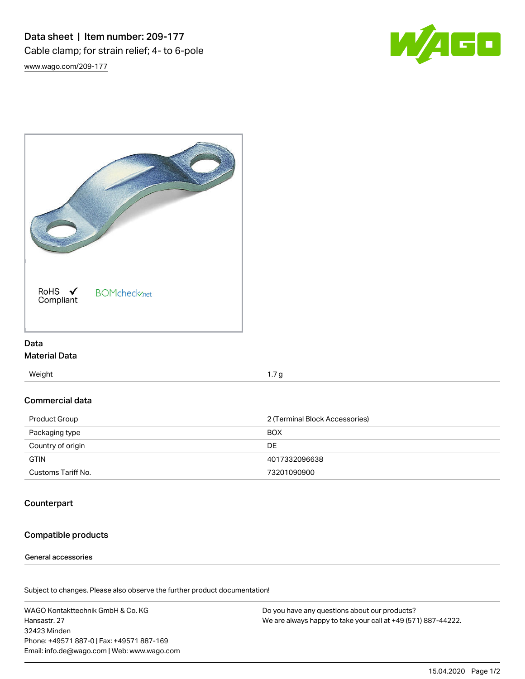Data sheet | Item number: 209-177 Cable clamp; for strain relief; 4- to 6-pole [www.wago.com/209-177](http://www.wago.com/209-177)





# Data Material Data

Weight 1.7 g

#### Commercial data

| Product Group      | 2 (Terminal Block Accessories) |  |
|--------------------|--------------------------------|--|
| Packaging type     | <b>BOX</b>                     |  |
| Country of origin  | DE                             |  |
| <b>GTIN</b>        | 4017332096638                  |  |
| Customs Tariff No. | 73201090900                    |  |

# **Counterpart**

# Compatible products

#### General accessories

Subject to changes. Please also observe the further product documentation!

WAGO Kontakttechnik GmbH & Co. KG Hansastr. 27 32423 Minden Phone: +49571 887-0 | Fax: +49571 887-169 Email: info.de@wago.com | Web: www.wago.com

Do you have any questions about our products? We are always happy to take your call at +49 (571) 887-44222.